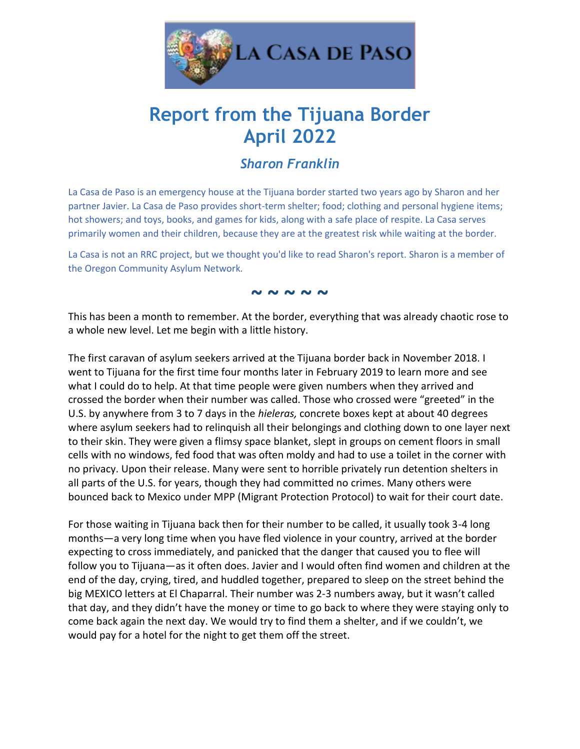

## **Report from the Tijuana Border April 2022**

## *Sharon Franklin*

La Casa de Paso is an emergency house at the Tijuana border started two years ago by Sharon and her partner Javier. La Casa de Paso provides short-term shelter; food; clothing and personal hygiene items; hot showers; and toys, books, and games for kids, along with a safe place of respite. La Casa serves primarily women and their children, because they are at the greatest risk while waiting at the border.

La Casa is not an RRC project, but we thought you'd like to read Sharon's report. Sharon is a member of the Oregon Community Asylum Network*.*

**~ ~ ~ ~ ~**

This has been a month to remember. At the border, everything that was already chaotic rose to a whole new level. Let me begin with a little history.

The first caravan of asylum seekers arrived at the Tijuana border back in November 2018. I went to Tijuana for the first time four months later in February 2019 to learn more and see what I could do to help. At that time people were given numbers when they arrived and crossed the border when their number was called. Those who crossed were "greeted" in the U.S. by anywhere from 3 to 7 days in the *hieleras,* concrete boxes kept at about 40 degrees where asylum seekers had to relinquish all their belongings and clothing down to one layer next to their skin. They were given a flimsy space blanket, slept in groups on cement floors in small cells with no windows, fed food that was often moldy and had to use a toilet in the corner with no privacy. Upon their release. Many were sent to horrible privately run detention shelters in all parts of the U.S. for years, though they had committed no crimes. Many others were bounced back to Mexico under MPP (Migrant Protection Protocol) to wait for their court date.

For those waiting in Tijuana back then for their number to be called, it usually took 3-4 long months—a very long time when you have fled violence in your country, arrived at the border expecting to cross immediately, and panicked that the danger that caused you to flee will follow you to Tijuana—as it often does. Javier and I would often find women and children at the end of the day, crying, tired, and huddled together, prepared to sleep on the street behind the big MEXICO letters at El Chaparral. Their number was 2-3 numbers away, but it wasn't called that day, and they didn't have the money or time to go back to where they were staying only to come back again the next day. We would try to find them a shelter, and if we couldn't, we would pay for a hotel for the night to get them off the street.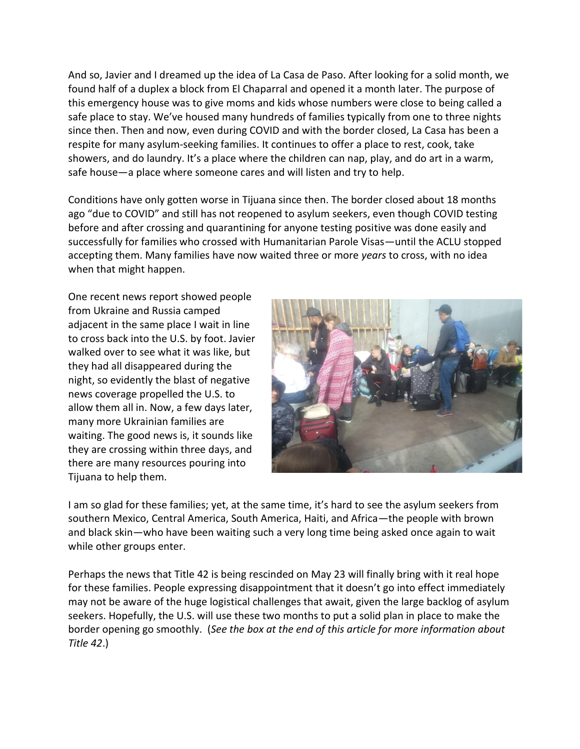And so, Javier and I dreamed up the idea of La Casa de Paso. After looking for a solid month, we found half of a duplex a block from El Chaparral and opened it a month later. The purpose of this emergency house was to give moms and kids whose numbers were close to being called a safe place to stay. We've housed many hundreds of families typically from one to three nights since then. Then and now, even during COVID and with the border closed, La Casa has been a respite for many asylum-seeking families. It continues to offer a place to rest, cook, take showers, and do laundry. It's a place where the children can nap, play, and do art in a warm, safe house—a place where someone cares and will listen and try to help.

Conditions have only gotten worse in Tijuana since then. The border closed about 18 months ago "due to COVID" and still has not reopened to asylum seekers, even though COVID testing before and after crossing and quarantining for anyone testing positive was done easily and successfully for families who crossed with Humanitarian Parole Visas—until the ACLU stopped accepting them. Many families have now waited three or more *years* to cross, with no idea when that might happen.

One recent news report showed people from Ukraine and Russia camped adjacent in the same place I wait in line to cross back into the U.S. by foot. Javier walked over to see what it was like, but they had all disappeared during the night, so evidently the blast of negative news coverage propelled the U.S. to allow them all in. Now, a few days later, many more Ukrainian families are waiting. The good news is, it sounds like they are crossing within three days, and there are many resources pouring into Tijuana to help them.



I am so glad for these families; yet, at the same time, it's hard to see the asylum seekers from southern Mexico, Central America, South America, Haiti, and Africa—the people with brown and black skin—who have been waiting such a very long time being asked once again to wait while other groups enter.

Perhaps the news that Title 42 is being rescinded on May 23 will finally bring with it real hope for these families. People expressing disappointment that it doesn't go into effect immediately may not be aware of the huge logistical challenges that await, given the large backlog of asylum seekers. Hopefully, the U.S. will use these two months to put a solid plan in place to make the border opening go smoothly. (*See the box at the end of this article for more information about Title 42*.)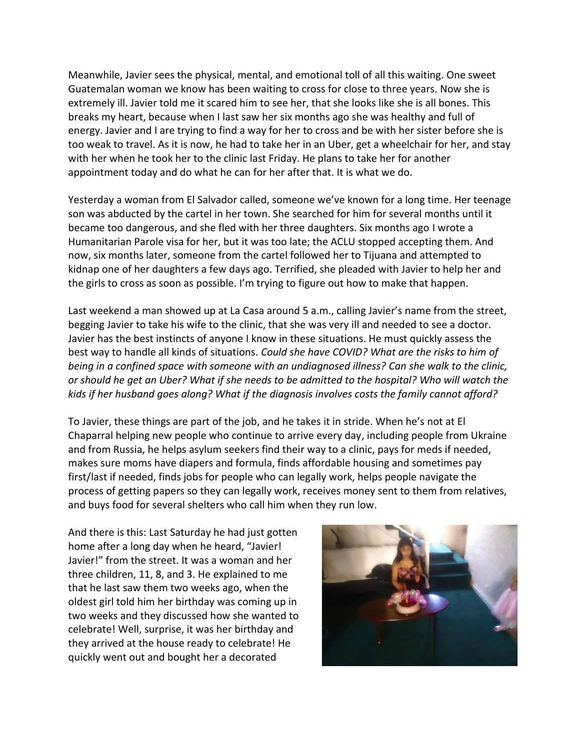Meanwhile, Javier sees the physical, mental, and emotional toll of all this waiting. One sweet Guatemalan woman we know has been waiting to cross for close to three years. Now she is extremely ill. Javier told me it scared him to see her, that she looks like she is all bones. This breaks my heart, because when I last saw her six months ago she was healthy and full of energy. Javier and I are trying to find a way for her to cross and be with her sister before she is too weak to travel. As it is now, he had to take her in an Uber, get a wheelchair for her, and stay with her when he took her to the clinic last Friday. He plans to take her for another appointment today and do what he can for her after that. It is what we do.

Yesterday a woman from El Salvador called, someone we've known for a long time. Her teenage son was abducted by the cartel in her town. She searched for him for several months until it became too dangerous, and she fled with her three daughters. Six months ago I wrote a Humanitarian Parole visa for her, but it was too late; the ACLU stopped accepting them. And now, six months later, someone from the cartel followed her to Tijuana and attempted to kidnap one of her daughters a few days ago. Terrified, she pleaded with Javier to help her and the girls to cross as soon as possible. I'm trying to figure out how to make that happen.

Last weekend a man showed up at La Casa around 5 a.m., calling Javier's name from the street, begging Javier to take his wife to the clinic, that she was very ill and needed to see a doctor. Javier has the best instincts of anyone I know in these situations. He must quickly assess the best way to handle all kinds of situations. *Could she have COVID? What are the risks to him of being in a confined space with someone with an undiagnosed illness? Can she walk to the clinic, or should he get an Uber? What if she needs to be admitted to the hospital? Who will watch the kids if her husband goes along? What if the diagnosis involves costs the family cannot afford?*

To Javier, these things are part of the job, and he takes it in stride. When he's not at El Chaparral helping new people who continue to arrive every day, including people from Ukraine and from Russia, he helps asylum seekers find their way to a clinic, pays for meds if needed, makes sure moms have diapers and formula, finds affordable housing and sometimes pay first/last if needed, finds jobs for people who can legally work, helps people navigate the process of getting papers so they can legally work, receives money sent to them from relatives, and buys food for several shelters who call him when they run low.

And there is this: Last Saturday he had just gotten home after a long day when he heard, "Javier! Javier!" from the street. It was a woman and her three children, 11, 8, and 3. He explained to me that he last saw them two weeks ago, when the oldest girl told him her birthday was coming up in two weeks and they discussed how she wanted to celebrate! Well, surprise, it was her birthday and they arrived at the house ready to celebrate! He quickly went out and bought her a decorated